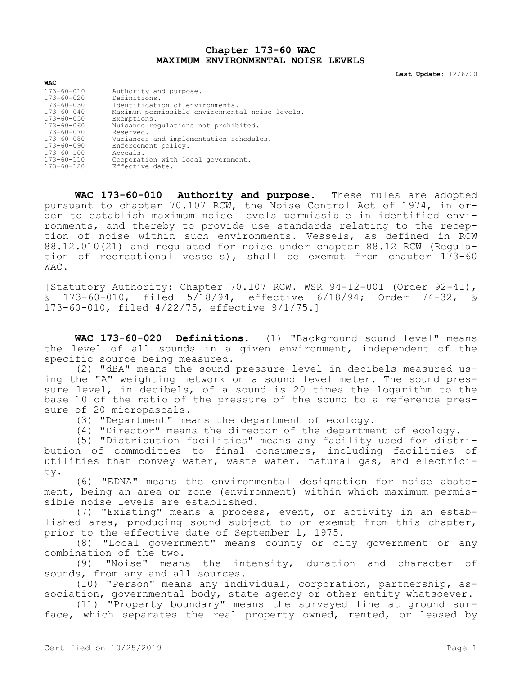## **Chapter 173-60 WAC MAXIMUM ENVIRONMENTAL NOISE LEVELS**

**Last Update:** 12/6/00

| <b>WAC</b>                           |                                                       |
|--------------------------------------|-------------------------------------------------------|
| $173 - 60 - 010$<br>$173 - 60 - 020$ | Authority and purpose.<br>Definitions.                |
| $173 - 60 - 030$                     | Identification of environments.                       |
| $173 - 60 - 040$                     | Maximum permissible environmental noise levels.       |
| $173 - 60 - 050$                     | Exemptions.                                           |
| $173 - 60 - 060$                     | Nuisance regulations not prohibited.                  |
| $173 - 60 - 070$                     | Reserved.                                             |
| $173 - 60 - 080$                     | Variances and implementation schedules.               |
| $173 - 60 - 090$                     | Enforcement policy.                                   |
| $173 - 60 - 100$                     | Appeals.                                              |
| $173 - 60 - 110$<br>$173 - 60 - 120$ | Cooperation with local government.<br>Effective date. |

**WAC 173-60-010 Authority and purpose.** These rules are adopted pursuant to chapter 70.107 RCW, the Noise Control Act of 1974, in order to establish maximum noise levels permissible in identified environments, and thereby to provide use standards relating to the reception of noise within such environments. Vessels, as defined in RCW 88.12.010(21) and regulated for noise under chapter 88.12 RCW (Regulation of recreational vessels), shall be exempt from chapter 173-60 WAC.

[Statutory Authority: Chapter 70.107 RCW. WSR 94-12-001 (Order 92-41), § 173-60-010, filed 5/18/94, effective 6/18/94; Order 74-32, § 173-60-010, filed 4/22/75, effective 9/1/75.]

**WAC 173-60-020 Definitions.** (1) "Background sound level" means the level of all sounds in a given environment, independent of the specific source being measured.

(2) "dBA" means the sound pressure level in decibels measured using the "A" weighting network on a sound level meter. The sound pressure level, in decibels, of a sound is 20 times the logarithm to the base 10 of the ratio of the pressure of the sound to a reference pressure of 20 micropascals.

(3) "Department" means the department of ecology.

(4) "Director" means the director of the department of ecology.

(5) "Distribution facilities" means any facility used for distribution of commodities to final consumers, including facilities of utilities that convey water, waste water, natural gas, and electricity.

(6) "EDNA" means the environmental designation for noise abatement, being an area or zone (environment) within which maximum permissible noise levels are established.

(7) "Existing" means a process, event, or activity in an established area, producing sound subject to or exempt from this chapter, prior to the effective date of September 1, 1975.

(8) "Local government" means county or city government or any combination of the two.

(9) "Noise" means the intensity, duration and character of sounds, from any and all sources.

(10) "Person" means any individual, corporation, partnership, association, governmental body, state agency or other entity whatsoever.

(11) "Property boundary" means the surveyed line at ground surface, which separates the real property owned, rented, or leased by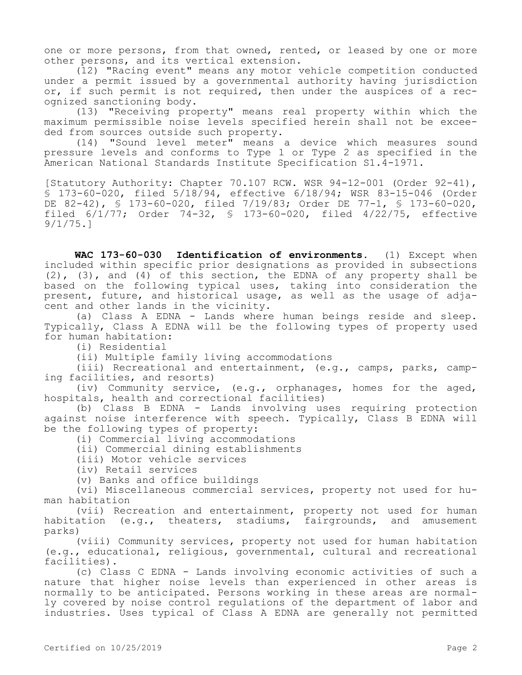one or more persons, from that owned, rented, or leased by one or more other persons, and its vertical extension.

(12) "Racing event" means any motor vehicle competition conducted under a permit issued by a governmental authority having jurisdiction or, if such permit is not required, then under the auspices of a recognized sanctioning body.

(13) "Receiving property" means real property within which the maximum permissible noise levels specified herein shall not be exceeded from sources outside such property.

(14) "Sound level meter" means a device which measures sound pressure levels and conforms to Type 1 or Type 2 as specified in the American National Standards Institute Specification S1.4-1971.

[Statutory Authority: Chapter 70.107 RCW. WSR 94-12-001 (Order 92-41), § 173-60-020, filed 5/18/94, effective 6/18/94; WSR 83-15-046 (Order DE 82-42), § 173-60-020, filed 7/19/83; Order DE 77-1, § 173-60-020, filed 6/1/77; Order 74-32, § 173-60-020, filed 4/22/75, effective 9/1/75.]

**WAC 173-60-030 Identification of environments.** (1) Except when included within specific prior designations as provided in subsections (2), (3), and (4) of this section, the EDNA of any property shall be based on the following typical uses, taking into consideration the present, future, and historical usage, as well as the usage of adjacent and other lands in the vicinity.

(a) Class A EDNA - Lands where human beings reside and sleep. Typically, Class A EDNA will be the following types of property used for human habitation:

(i) Residential

(ii) Multiple family living accommodations

(iii) Recreational and entertainment, (e.g., camps, parks, camping facilities, and resorts)

(iv) Community service, (e.g., orphanages, homes for the aged, hospitals, health and correctional facilities)

(b) Class B EDNA - Lands involving uses requiring protection against noise interference with speech. Typically, Class B EDNA will be the following types of property:

(i) Commercial living accommodations

(ii) Commercial dining establishments

(iii) Motor vehicle services

(iv) Retail services

(v) Banks and office buildings

(vi) Miscellaneous commercial services, property not used for human habitation

(vii) Recreation and entertainment, property not used for human habitation (e.g., theaters, stadiums, fairgrounds, and amusement parks)

(viii) Community services, property not used for human habitation (e.g., educational, religious, governmental, cultural and recreational facilities).

(c) Class C EDNA - Lands involving economic activities of such a nature that higher noise levels than experienced in other areas is normally to be anticipated. Persons working in these areas are normally covered by noise control regulations of the department of labor and industries. Uses typical of Class A EDNA are generally not permitted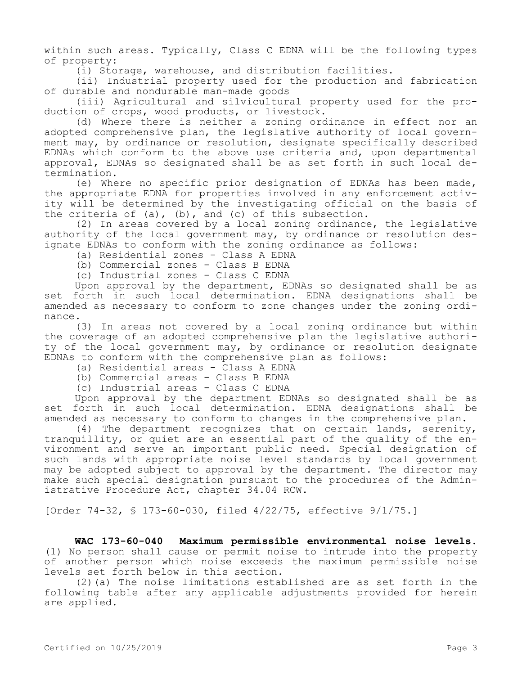within such areas. Typically, Class C EDNA will be the following types of property:

(i) Storage, warehouse, and distribution facilities.

(ii) Industrial property used for the production and fabrication of durable and nondurable man-made goods

(iii) Agricultural and silvicultural property used for the production of crops, wood products, or livestock.

(d) Where there is neither a zoning ordinance in effect nor an adopted comprehensive plan, the legislative authority of local government may, by ordinance or resolution, designate specifically described EDNAs which conform to the above use criteria and, upon departmental approval, EDNAs so designated shall be as set forth in such local determination.

(e) Where no specific prior designation of EDNAs has been made, the appropriate EDNA for properties involved in any enforcement activity will be determined by the investigating official on the basis of the criteria of  $(a)$ ,  $(b)$ , and  $(c)$  of this subsection.

(2) In areas covered by a local zoning ordinance, the legislative authority of the local government may, by ordinance or resolution designate EDNAs to conform with the zoning ordinance as follows:

- (a) Residential zones Class A EDNA
- (b) Commercial zones Class B EDNA

(c) Industrial zones - Class C EDNA

Upon approval by the department, EDNAs so designated shall be as set forth in such local determination. EDNA designations shall be amended as necessary to conform to zone changes under the zoning ordinance.

(3) In areas not covered by a local zoning ordinance but within the coverage of an adopted comprehensive plan the legislative authority of the local government may, by ordinance or resolution designate EDNAs to conform with the comprehensive plan as follows:

- (a) Residential areas Class A EDNA
- (b) Commercial areas Class B EDNA
- (c) Industrial areas Class C EDNA

Upon approval by the department EDNAs so designated shall be as set forth in such local determination. EDNA designations shall be amended as necessary to conform to changes in the comprehensive plan.

(4) The department recognizes that on certain lands, serenity, tranquillity, or quiet are an essential part of the quality of the environment and serve an important public need. Special designation of such lands with appropriate noise level standards by local government may be adopted subject to approval by the department. The director may make such special designation pursuant to the procedures of the Administrative Procedure Act, chapter 34.04 RCW.

[Order 74-32, § 173-60-030, filed 4/22/75, effective 9/1/75.]

**WAC 173-60-040 Maximum permissible environmental noise levels.**  (1) No person shall cause or permit noise to intrude into the property of another person which noise exceeds the maximum permissible noise levels set forth below in this section.

(2)(a) The noise limitations established are as set forth in the following table after any applicable adjustments provided for herein are applied.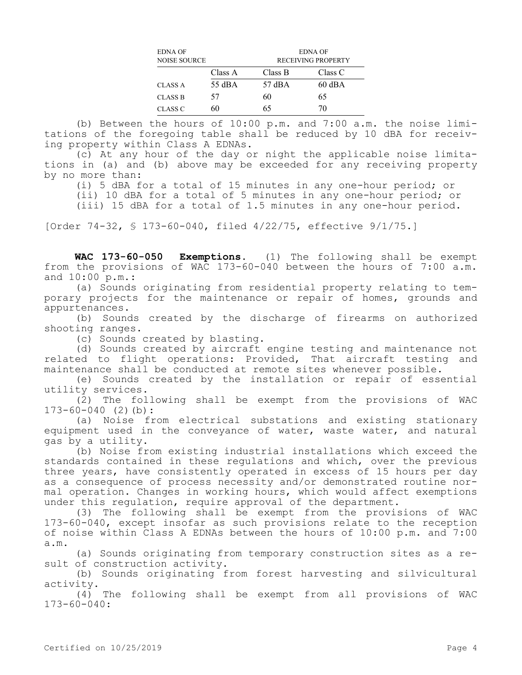| EDNA OF<br><b>NOISE SOURCE</b> |         | <b>EDNA OF</b><br>RECEIVING PROPERTY |          |  |
|--------------------------------|---------|--------------------------------------|----------|--|
|                                | Class A | Class B                              | Class C  |  |
| CLASS A                        | 55 dBA  | 57 dBA                               | $60$ dBA |  |
| <b>CLASS B</b>                 | 57      | 60                                   | 65       |  |
| CLASS C                        | 60      | 65                                   | 70       |  |

(b) Between the hours of 10:00 p.m. and 7:00 a.m. the noise limitations of the foregoing table shall be reduced by 10 dBA for receiving property within Class A EDNAs.

(c) At any hour of the day or night the applicable noise limitations in (a) and (b) above may be exceeded for any receiving property by no more than:

(i) 5 dBA for a total of 15 minutes in any one-hour period; or

(ii) 10 dBA for a total of 5 minutes in any one-hour period; or

(iii) 15 dBA for a total of 1.5 minutes in any one-hour period.

[Order 74-32, § 173-60-040, filed 4/22/75, effective 9/1/75.]

**WAC 173-60-050 Exemptions.** (1) The following shall be exempt from the provisions of WAC 173-60-040 between the hours of 7:00 a.m. and 10:00 p.m.:

(a) Sounds originating from residential property relating to temporary projects for the maintenance or repair of homes, grounds and appurtenances.

(b) Sounds created by the discharge of firearms on authorized shooting ranges.

(c) Sounds created by blasting.

(d) Sounds created by aircraft engine testing and maintenance not related to flight operations: Provided, That aircraft testing and maintenance shall be conducted at remote sites whenever possible.

(e) Sounds created by the installation or repair of essential utility services.

(2) The following shall be exempt from the provisions of WAC 173-60-040 (2)(b):

(a) Noise from electrical substations and existing stationary equipment used in the conveyance of water, waste water, and natural gas by a utility.

(b) Noise from existing industrial installations which exceed the standards contained in these regulations and which, over the previous three years, have consistently operated in excess of 15 hours per day as a consequence of process necessity and/or demonstrated routine normal operation. Changes in working hours, which would affect exemptions under this regulation, require approval of the department.

(3) The following shall be exempt from the provisions of WAC 173-60-040, except insofar as such provisions relate to the reception of noise within Class A EDNAs between the hours of 10:00 p.m. and 7:00 a.m.

(a) Sounds originating from temporary construction sites as a result of construction activity.

(b) Sounds originating from forest harvesting and silvicultural activity.

(4) The following shall be exempt from all provisions of WAC 173-60-040: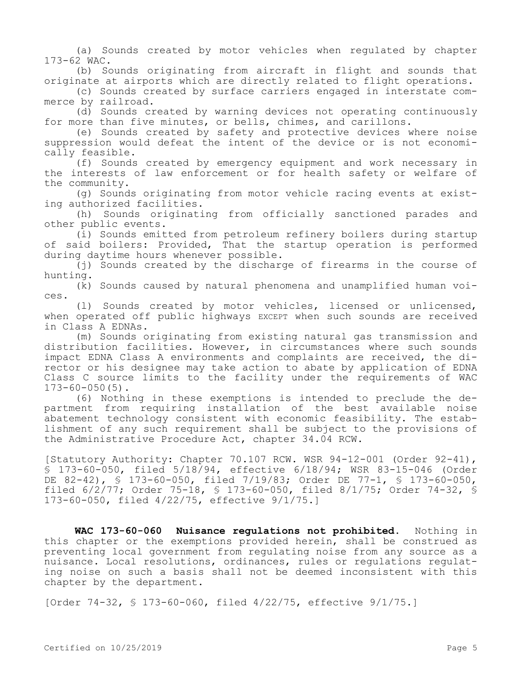(a) Sounds created by motor vehicles when regulated by chapter 173-62 WAC.

(b) Sounds originating from aircraft in flight and sounds that originate at airports which are directly related to flight operations.

(c) Sounds created by surface carriers engaged in interstate commerce by railroad.

(d) Sounds created by warning devices not operating continuously for more than five minutes, or bells, chimes, and carillons.

(e) Sounds created by safety and protective devices where noise suppression would defeat the intent of the device or is not economically feasible.

(f) Sounds created by emergency equipment and work necessary in the interests of law enforcement or for health safety or welfare of the community.

(g) Sounds originating from motor vehicle racing events at existing authorized facilities.

(h) Sounds originating from officially sanctioned parades and other public events.

(i) Sounds emitted from petroleum refinery boilers during startup of said boilers: Provided, That the startup operation is performed during daytime hours whenever possible.

(j) Sounds created by the discharge of firearms in the course of hunting.

(k) Sounds caused by natural phenomena and unamplified human voices.

(l) Sounds created by motor vehicles, licensed or unlicensed, when operated off public highways EXCEPT when such sounds are received in Class A EDNAs.

(m) Sounds originating from existing natural gas transmission and distribution facilities. However, in circumstances where such sounds impact EDNA Class A environments and complaints are received, the director or his designee may take action to abate by application of EDNA Class C source limits to the facility under the requirements of WAC  $173 - 60 - 050(5)$ .

(6) Nothing in these exemptions is intended to preclude the department from requiring installation of the best available noise abatement technology consistent with economic feasibility. The establishment of any such requirement shall be subject to the provisions of the Administrative Procedure Act, chapter 34.04 RCW.

[Statutory Authority: Chapter 70.107 RCW. WSR 94-12-001 (Order 92-41), § 173-60-050, filed 5/18/94, effective 6/18/94; WSR 83-15-046 (Order DE 82-42), § 173-60-050, filed 7/19/83; Order DE 77-1, § 173-60-050, filed 6/2/77; Order 75-18, § 173-60-050, filed 8/1/75; Order 74-32, § 173-60-050, filed 4/22/75, effective 9/1/75.]

**WAC 173-60-060 Nuisance regulations not prohibited.** Nothing in this chapter or the exemptions provided herein, shall be construed as preventing local government from regulating noise from any source as a nuisance. Local resolutions, ordinances, rules or regulations regulating noise on such a basis shall not be deemed inconsistent with this chapter by the department.

[Order 74-32, § 173-60-060, filed 4/22/75, effective 9/1/75.]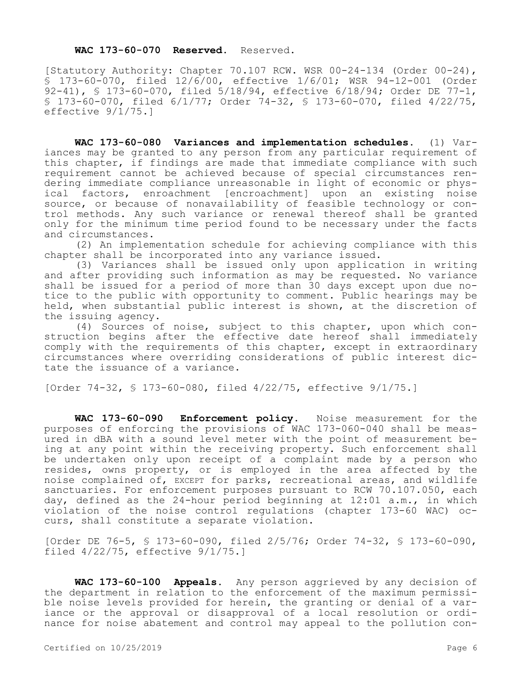## **WAC 173-60-070 Reserved.** Reserved.

[Statutory Authority: Chapter 70.107 RCW. WSR 00-24-134 (Order 00-24), § 173-60-070, filed 12/6/00, effective 1/6/01; WSR 94-12-001 (Order 92-41), § 173-60-070, filed 5/18/94, effective 6/18/94; Order DE 77-1, § 173-60-070, filed 6/1/77; Order 74-32, § 173-60-070, filed 4/22/75, effective 9/1/75.]

**WAC 173-60-080 Variances and implementation schedules.** (1) Variances may be granted to any person from any particular requirement of this chapter, if findings are made that immediate compliance with such requirement cannot be achieved because of special circumstances rendering immediate compliance unreasonable in light of economic or physical factors, enroachment [encroachment] upon an existing noise source, or because of nonavailability of feasible technology or control methods. Any such variance or renewal thereof shall be granted only for the minimum time period found to be necessary under the facts and circumstances.

(2) An implementation schedule for achieving compliance with this chapter shall be incorporated into any variance issued.

(3) Variances shall be issued only upon application in writing and after providing such information as may be requested. No variance shall be issued for a period of more than 30 days except upon due notice to the public with opportunity to comment. Public hearings may be held, when substantial public interest is shown, at the discretion of the issuing agency.

(4) Sources of noise, subject to this chapter, upon which construction begins after the effective date hereof shall immediately comply with the requirements of this chapter, except in extraordinary circumstances where overriding considerations of public interest dictate the issuance of a variance.

[Order 74-32, § 173-60-080, filed 4/22/75, effective 9/1/75.]

**WAC 173-60-090 Enforcement policy.** Noise measurement for the purposes of enforcing the provisions of WAC 173-060-040 shall be measured in dBA with a sound level meter with the point of measurement being at any point within the receiving property. Such enforcement shall be undertaken only upon receipt of a complaint made by a person who resides, owns property, or is employed in the area affected by the noise complained of, EXCEPT for parks, recreational areas, and wildlife sanctuaries. For enforcement purposes pursuant to RCW 70.107.050, each day, defined as the 24-hour period beginning at 12:01 a.m., in which violation of the noise control regulations (chapter 173-60 WAC) occurs, shall constitute a separate violation.

[Order DE 76-5, § 173-60-090, filed 2/5/76; Order 74-32, § 173-60-090, filed 4/22/75, effective 9/1/75.]

**WAC 173-60-100 Appeals.** Any person aggrieved by any decision of the department in relation to the enforcement of the maximum permissible noise levels provided for herein, the granting or denial of a variance or the approval or disapproval of a local resolution or ordinance for noise abatement and control may appeal to the pollution con